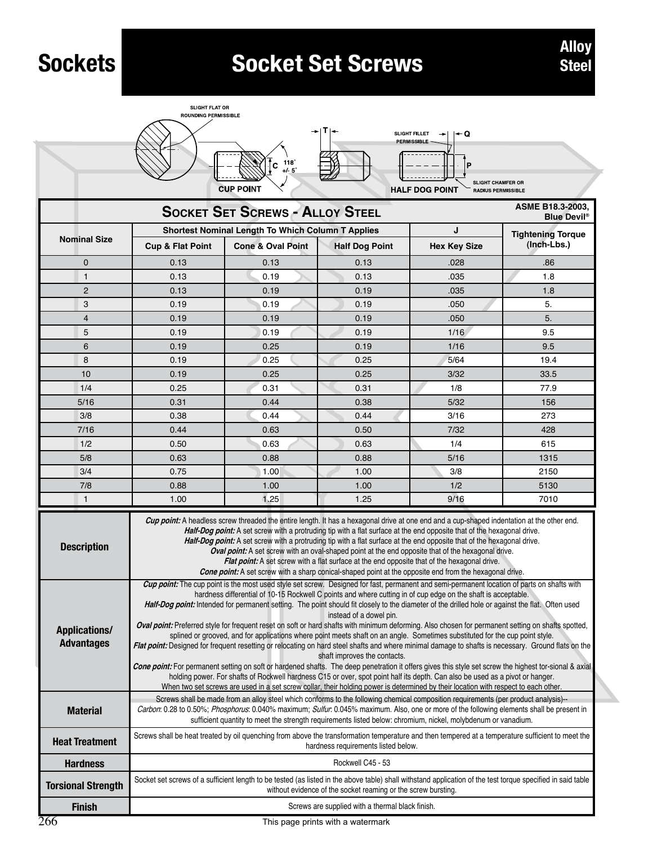## **Socket Set Screws Alloy Alloy Alloy**







| <b>CUP POINT</b><br><b>HALF DOG POINT</b><br>RADIUS PERMISSIBLE                  |                                                                                                                                                                                                                                                                                                                                                                                                                                                                                                                                                                                                                                                                                                                                                                                                                                                                                                                                                                                                                                                                                                                                                                                                                                                                                                                                                            |                                                          |                       |                     |                          |  |  |  |  |  |  |
|----------------------------------------------------------------------------------|------------------------------------------------------------------------------------------------------------------------------------------------------------------------------------------------------------------------------------------------------------------------------------------------------------------------------------------------------------------------------------------------------------------------------------------------------------------------------------------------------------------------------------------------------------------------------------------------------------------------------------------------------------------------------------------------------------------------------------------------------------------------------------------------------------------------------------------------------------------------------------------------------------------------------------------------------------------------------------------------------------------------------------------------------------------------------------------------------------------------------------------------------------------------------------------------------------------------------------------------------------------------------------------------------------------------------------------------------------|----------------------------------------------------------|-----------------------|---------------------|--------------------------|--|--|--|--|--|--|
| ASME B18.3-2003,<br><b>SOCKET SET SCREWS - ALLOY STEEL</b><br><b>Blue Devil®</b> |                                                                                                                                                                                                                                                                                                                                                                                                                                                                                                                                                                                                                                                                                                                                                                                                                                                                                                                                                                                                                                                                                                                                                                                                                                                                                                                                                            |                                                          |                       |                     |                          |  |  |  |  |  |  |
|                                                                                  |                                                                                                                                                                                                                                                                                                                                                                                                                                                                                                                                                                                                                                                                                                                                                                                                                                                                                                                                                                                                                                                                                                                                                                                                                                                                                                                                                            | <b>Shortest Nominal Length To Which Column T Applies</b> |                       | J                   | <b>Tightening Torque</b> |  |  |  |  |  |  |
| <b>Nominal Size</b>                                                              | Cup & Flat Point                                                                                                                                                                                                                                                                                                                                                                                                                                                                                                                                                                                                                                                                                                                                                                                                                                                                                                                                                                                                                                                                                                                                                                                                                                                                                                                                           | <b>Cone &amp; Oval Point</b>                             | <b>Half Dog Point</b> | <b>Hex Key Size</b> | (Inch-Lbs.)              |  |  |  |  |  |  |
| 0                                                                                | 0.13                                                                                                                                                                                                                                                                                                                                                                                                                                                                                                                                                                                                                                                                                                                                                                                                                                                                                                                                                                                                                                                                                                                                                                                                                                                                                                                                                       | 0.13                                                     | 0.13                  | .028                | .86                      |  |  |  |  |  |  |
| 1                                                                                | 0.13                                                                                                                                                                                                                                                                                                                                                                                                                                                                                                                                                                                                                                                                                                                                                                                                                                                                                                                                                                                                                                                                                                                                                                                                                                                                                                                                                       | 0.19                                                     | 0.13                  | .035                | 1.8                      |  |  |  |  |  |  |
| $\overline{2}$                                                                   | 0.13                                                                                                                                                                                                                                                                                                                                                                                                                                                                                                                                                                                                                                                                                                                                                                                                                                                                                                                                                                                                                                                                                                                                                                                                                                                                                                                                                       | 0.19                                                     | 0.19                  | .035                | 1.8                      |  |  |  |  |  |  |
| 3                                                                                | 0.19                                                                                                                                                                                                                                                                                                                                                                                                                                                                                                                                                                                                                                                                                                                                                                                                                                                                                                                                                                                                                                                                                                                                                                                                                                                                                                                                                       | 0.19                                                     | 0.19                  | .050                | 5.                       |  |  |  |  |  |  |
| $\overline{\mathbf{4}}$                                                          | 0.19                                                                                                                                                                                                                                                                                                                                                                                                                                                                                                                                                                                                                                                                                                                                                                                                                                                                                                                                                                                                                                                                                                                                                                                                                                                                                                                                                       | 0.19                                                     | 0.19                  | .050                | 5.                       |  |  |  |  |  |  |
| 5                                                                                | 0.19                                                                                                                                                                                                                                                                                                                                                                                                                                                                                                                                                                                                                                                                                                                                                                                                                                                                                                                                                                                                                                                                                                                                                                                                                                                                                                                                                       | 0.19                                                     | 0.19                  | 1/16                | 9.5                      |  |  |  |  |  |  |
| 6                                                                                | 0.19                                                                                                                                                                                                                                                                                                                                                                                                                                                                                                                                                                                                                                                                                                                                                                                                                                                                                                                                                                                                                                                                                                                                                                                                                                                                                                                                                       | 0.25                                                     | 0.19                  | 1/16                | 9.5                      |  |  |  |  |  |  |
| 8                                                                                | 0.19                                                                                                                                                                                                                                                                                                                                                                                                                                                                                                                                                                                                                                                                                                                                                                                                                                                                                                                                                                                                                                                                                                                                                                                                                                                                                                                                                       | 0.25                                                     | 0.25                  | 5/64                | 19.4                     |  |  |  |  |  |  |
| 10                                                                               | 0.19                                                                                                                                                                                                                                                                                                                                                                                                                                                                                                                                                                                                                                                                                                                                                                                                                                                                                                                                                                                                                                                                                                                                                                                                                                                                                                                                                       | 0.25                                                     | 0.25                  | 3/32                | 33.5                     |  |  |  |  |  |  |
| 1/4                                                                              | 0.25                                                                                                                                                                                                                                                                                                                                                                                                                                                                                                                                                                                                                                                                                                                                                                                                                                                                                                                                                                                                                                                                                                                                                                                                                                                                                                                                                       | 0.31                                                     | 0.31                  | 1/8                 | 77.9                     |  |  |  |  |  |  |
| 5/16                                                                             | 0.31                                                                                                                                                                                                                                                                                                                                                                                                                                                                                                                                                                                                                                                                                                                                                                                                                                                                                                                                                                                                                                                                                                                                                                                                                                                                                                                                                       | 0.44                                                     | 0.38<br>5/32          |                     | 156                      |  |  |  |  |  |  |
| 3/8                                                                              | 0.38                                                                                                                                                                                                                                                                                                                                                                                                                                                                                                                                                                                                                                                                                                                                                                                                                                                                                                                                                                                                                                                                                                                                                                                                                                                                                                                                                       | 0.44                                                     | 0.44<br>3/16          |                     | 273                      |  |  |  |  |  |  |
| 7/16                                                                             | 0.44                                                                                                                                                                                                                                                                                                                                                                                                                                                                                                                                                                                                                                                                                                                                                                                                                                                                                                                                                                                                                                                                                                                                                                                                                                                                                                                                                       | 0.63                                                     | 0.50                  | 7/32                | 428                      |  |  |  |  |  |  |
| 1/2                                                                              | 0.50                                                                                                                                                                                                                                                                                                                                                                                                                                                                                                                                                                                                                                                                                                                                                                                                                                                                                                                                                                                                                                                                                                                                                                                                                                                                                                                                                       | 0.63                                                     | 0.63                  | 1/4                 | 615                      |  |  |  |  |  |  |
| 5/8                                                                              | 0.63                                                                                                                                                                                                                                                                                                                                                                                                                                                                                                                                                                                                                                                                                                                                                                                                                                                                                                                                                                                                                                                                                                                                                                                                                                                                                                                                                       | 0.88                                                     | 0.88                  | 5/16                | 1315                     |  |  |  |  |  |  |
| 3/4                                                                              | 0.75                                                                                                                                                                                                                                                                                                                                                                                                                                                                                                                                                                                                                                                                                                                                                                                                                                                                                                                                                                                                                                                                                                                                                                                                                                                                                                                                                       | 1.00                                                     | 1.00                  | 3/8                 | 2150                     |  |  |  |  |  |  |
| 7/8                                                                              | 0.88                                                                                                                                                                                                                                                                                                                                                                                                                                                                                                                                                                                                                                                                                                                                                                                                                                                                                                                                                                                                                                                                                                                                                                                                                                                                                                                                                       | 1.00                                                     | 1.00                  | 1/2                 | 5130                     |  |  |  |  |  |  |
| 1                                                                                | 1.00                                                                                                                                                                                                                                                                                                                                                                                                                                                                                                                                                                                                                                                                                                                                                                                                                                                                                                                                                                                                                                                                                                                                                                                                                                                                                                                                                       | 1.25                                                     | 1.25                  | 9/16                | 7010                     |  |  |  |  |  |  |
| <b>Description</b>                                                               | Cup point: A headless screw threaded the entire length. It has a hexagonal drive at one end and a cup-shaped indentation at the other end.<br>Half-Dog point: A set screw with a protruding tip with a flat surface at the end opposite that of the hexagonal drive.<br>Half-Dog point: A set screw with a protruding tip with a flat surface at the end opposite that of the hexagonal drive.<br>Oval point: A set screw with an oval-shaped point at the end opposite that of the hexagonal drive.<br>Flat point: A set screw with a flat surface at the end opposite that of the hexagonal drive.<br>Cone point: A set screw with a sharp conical-shaped point at the opposite end from the hexagonal drive.                                                                                                                                                                                                                                                                                                                                                                                                                                                                                                                                                                                                                                            |                                                          |                       |                     |                          |  |  |  |  |  |  |
| <b>Applications/</b><br><b>Advantages</b>                                        | Cup point: The cup point is the most used style set screw. Designed for fast, permanent and semi-permanent location of parts on shafts with<br>hardness differential of 10-15 Rockwell C points and where cutting in of cup edge on the shaft is acceptable.<br>Half-Dog point: Intended for permanent setting. The point should fit closely to the diameter of the drilled hole or against the flat. Often used<br>instead of a dowel pin.<br>Oval point: Preferred style for frequent reset on soft or hard shafts with minimum deforming. Also chosen for permanent setting on shafts spotted,<br>splined or grooved, and for applications where point meets shaft on an angle. Sometimes substituted for the cup point style.<br>Flat point: Designed for frequent resetting or relocating on hard steel shafts and where minimal damage to shafts is necessary. Ground flats on the<br>shaft improves the contacts.<br>Cone point: For permanent setting on soft or hardened shafts. The deep penetration it offers gives this style set screw the highest tor-sional & axial<br>holding power. For shafts of Rockwell hardness C15 or over, spot point half its depth. Can also be used as a pivot or hanger.<br>When two set screws are used in a set screw collar, their holding power is determined by their location with respect to each other. |                                                          |                       |                     |                          |  |  |  |  |  |  |
| <b>Material</b>                                                                  | Screws shall be made from an alloy steel which conforms to the following chemical composition requirements (per product analysis)--<br>Carbon: 0.28 to 0.50%; Phosphorus: 0.040% maximum; Sulfur: 0.045% maximum. Also, one or more of the following elements shall be present in<br>sufficient quantity to meet the strength requirements listed below: chromium, nickel, molybdenum or vanadium.                                                                                                                                                                                                                                                                                                                                                                                                                                                                                                                                                                                                                                                                                                                                                                                                                                                                                                                                                         |                                                          |                       |                     |                          |  |  |  |  |  |  |
| <b>Heat Treatment</b>                                                            | Screws shall be heat treated by oil quenching from above the transformation temperature and then tempered at a temperature sufficient to meet the<br>hardness requirements listed below.                                                                                                                                                                                                                                                                                                                                                                                                                                                                                                                                                                                                                                                                                                                                                                                                                                                                                                                                                                                                                                                                                                                                                                   |                                                          |                       |                     |                          |  |  |  |  |  |  |
| <b>Hardness</b>                                                                  | Rockwell C45 - 53                                                                                                                                                                                                                                                                                                                                                                                                                                                                                                                                                                                                                                                                                                                                                                                                                                                                                                                                                                                                                                                                                                                                                                                                                                                                                                                                          |                                                          |                       |                     |                          |  |  |  |  |  |  |
| <b>Torsional Strength</b>                                                        | Socket set screws of a sufficient length to be tested (as listed in the above table) shall withstand application of the test torque specified in said table<br>without evidence of the socket reaming or the screw bursting.                                                                                                                                                                                                                                                                                                                                                                                                                                                                                                                                                                                                                                                                                                                                                                                                                                                                                                                                                                                                                                                                                                                               |                                                          |                       |                     |                          |  |  |  |  |  |  |
| <b>Finish</b>                                                                    | Screws are supplied with a thermal black finish.                                                                                                                                                                                                                                                                                                                                                                                                                                                                                                                                                                                                                                                                                                                                                                                                                                                                                                                                                                                                                                                                                                                                                                                                                                                                                                           |                                                          |                       |                     |                          |  |  |  |  |  |  |

This page prints with a watermark